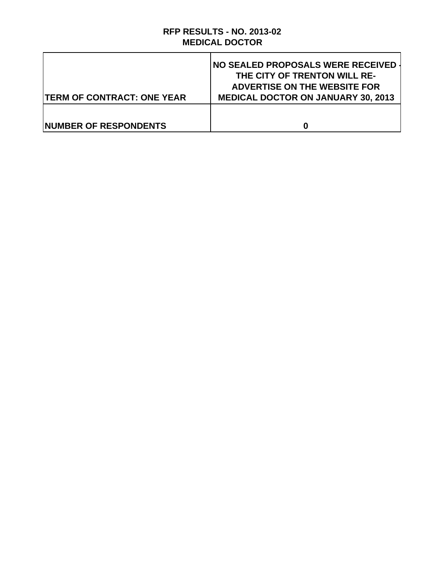# **RFP RESULTS - NO. 2013-02 MEDICAL DOCTOR**

| <b>TERM OF CONTRACT: ONE YEAR</b> | NO SEALED PROPOSALS WERE RECEIVED<br>THE CITY OF TRENTON WILL RE-<br><b>ADVERTISE ON THE WEBSITE FOR</b><br><b>MEDICAL DOCTOR ON JANUARY 30, 2013</b> |
|-----------------------------------|-------------------------------------------------------------------------------------------------------------------------------------------------------|
| <b>INUMBER OF RESPONDENTS</b>     |                                                                                                                                                       |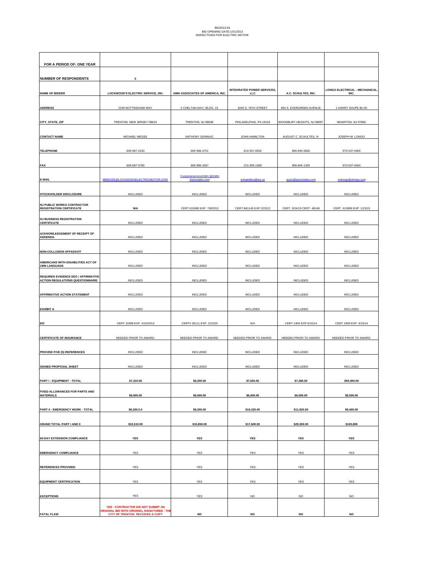| FOR A PERIOD OF: ONE YEAR                                                             |                                                                                                                             |                                           |                                                 |                            |                                              |
|---------------------------------------------------------------------------------------|-----------------------------------------------------------------------------------------------------------------------------|-------------------------------------------|-------------------------------------------------|----------------------------|----------------------------------------------|
| <b>NUMBER OF RESPONDENTS</b>                                                          | 5                                                                                                                           |                                           |                                                 |                            |                                              |
| <b>NAME OF BIDDER</b>                                                                 | LOCKWOOD'S ELECTRIC SERVICE, INC.                                                                                           | GMH ASSOCIATES OF AMERICA, INC.           | <b>INTEGRATED POWER SERVICES,</b><br><b>LLC</b> | A.C. SCHULTES, INC.        | <b>LONGO ELECTRICAL - MECHANICAL</b><br>INC. |
| <b>ADDRESS</b>                                                                        | 2239 NOTTINGHAM WAY                                                                                                         | 5 CHELTAN WAY, BLDG. 15                   | 3240 S. 78TH STREET                             | 664 S. EVERGREEN AVENUE    | 1 HARRY SHUPE BLVD                           |
|                                                                                       |                                                                                                                             |                                           |                                                 |                            |                                              |
| CITY, STATE, ZIP                                                                      | TRENTON, NEW JERSEY 08619                                                                                                   | TRENTON, NJ 08638                         | PHILADELPHIA, PA 19153                          | WOODBURY HEIGHTS, NJ 08097 | WHARTON, NJ 07885                            |
| <b>CONTACT NAME</b>                                                                   | MICHAEL MEGEE                                                                                                               | <b>ANTHONY GENNUIC</b>                    | JOHN HAMILTON                                   | AUGUST C. SCHULTES, IV     | JOSEPH M. LONGO                              |
| <b>TELEPHONE</b>                                                                      | 609-587-2333                                                                                                                | 609-396-4751                              | 610-357-0054                                    | 856-845-5656               | 973-537-0400                                 |
| <b>FAX</b>                                                                            | 609-587-5780                                                                                                                | 609-396-1067                              | 215-365-1580                                    | 856-845-1335               | 973-537-0404                                 |
| E-MAIL                                                                                | MMEGEE@LOCKWODSELECTRICMOTOR.COM                                                                                            | CustomerserviceGMH @GMH<br>Associates.com | jmhamilton@ips.us                               | gusiv@acschultes.com       | jmlongo@elongo.com                           |
| STOCKHOLDER DISCLOSURE                                                                | INCLUDED                                                                                                                    | INCLUDED                                  | INCLUDED                                        | INCLUDED                   | <b>INCLUDED</b>                              |
| <b>NJ PUBLIC WORKS CONTRACTOR</b><br><b>REGISTRATION CERTIFICATE</b>                  | N/A                                                                                                                         | CERT.615080 EXP. 7/8/2013                 | CERT.681145 EXP 2/23/12                         | CERT. 3/24/13 CERT. 48148  | CERT. 610999 EXP. 1/23/15                    |
| <b>NJ BUSINESS REGISTRATION</b><br><b>CERTIFICATE</b>                                 | INCLUDED                                                                                                                    | <b>INCLUDED</b>                           | INCLUDED                                        | INCLUDED                   | <b>INCLUDED</b>                              |
| <b>ACKNOWLEDGEMENT OF RECEIPT OF</b><br><b>ADDENDA</b>                                |                                                                                                                             |                                           | <b>INCLUDED</b>                                 |                            |                                              |
|                                                                                       | INCLUDED                                                                                                                    | INCLUDED                                  |                                                 | INCLUDED                   | INCLUDED                                     |
| <b>NON-COLLUSION AFFADAVIT</b><br>AMERICANS WITH DISABILITIES ACT OF                  | INCLUDED                                                                                                                    | INCLUDED                                  | INCLUDED                                        | INCLUDED                   | <b>INCLUDED</b>                              |
| 1990 LANGUAGE                                                                         | INCLUDED                                                                                                                    | INCLUDED                                  | INCLUDED                                        | INCLUDED                   | INCLUDED                                     |
| <b>REQUIRED EVIDENCE EEO / AFFIRMATIVE</b><br><b>ACTION REGULATIONS QUESTIONNAIRE</b> | INCLUDED                                                                                                                    | INCLUDED                                  | INCLUDED                                        | INCLUDED                   | INCLUDED                                     |
| <b>AFFIRMATIVE ACTION STATEMENT</b>                                                   | INCLUDED                                                                                                                    | INCLUDED                                  | INCLUDED                                        | INCLUDED                   | <b>INCLUDED</b>                              |
| <b>EXHIBIT A</b>                                                                      | INCLUDED                                                                                                                    | INCLUDED                                  | INCLUDED                                        | INCLUDED                   | INCLUDED                                     |
| EIC                                                                                   | CERT.10399 EXP. 4/15/2013                                                                                                   | CERT# 26111 EXP. 2/15/20                  | N/A                                             | CERT.1404 EXP.6/15/14      | CERT.1909 EXP. 5/15/14                       |
| <b>CERTIFICATE OF INSURANCE</b>                                                       | NEEDED PRIOR TO AWARD                                                                                                       | NEEDED PRIOR TO AWARD                     | NEEDED PRIOR TO AWARD                           | NEEDED PRIOR TO AWARD      | NEEDED PRIOR TO AWARD                        |
|                                                                                       |                                                                                                                             |                                           |                                                 |                            |                                              |
| <b>PROVIDE FIVE (5) REFERENCES</b>                                                    | INCLUDED                                                                                                                    | INCLUDED                                  | INCLUDED                                        | INCLUDED                   | <b>INCLUDED</b>                              |
| SIGNED PROPOSAL SHEET                                                                 | <b>INCLUDED</b>                                                                                                             | INCLUDED                                  | INCLUDED                                        | INCLUDED                   | <b>INCLUDED</b>                              |
| PART I - EQUIPMENT - TOTAL                                                            | \$7,310.00                                                                                                                  | \$8,200.00                                | \$7,650.00                                      | \$7,280.00                 | \$94,400.00                                  |
| FIXED ALLOWANCES FOR PARTS AND<br><b>MATERIALS</b>                                    | \$6,000.00                                                                                                                  | \$6,000.00                                | \$6,000.00                                      | \$6,000.00                 | \$6,000.00                                   |
| PART II - EMERGENCY WORK - TOTAL                                                      | \$8,200.0.0                                                                                                                 | \$8,200.00                                | \$10,320.00                                     | \$11,920.00                | \$9,400.00                                   |
| <b>GRAND TOTAL PART I AND II</b>                                                      | \$15,510.00                                                                                                                 | \$15,850.00                               | \$17,600.00                                     | \$29,300.00                | \$103,800                                    |
| <b>60-DAY EXTENSION COMPLIANCE</b>                                                    | YES                                                                                                                         | YES                                       | YES                                             | YES                        | YES                                          |
| <b>EMERGENCY COMPLIANCE</b>                                                           | YES                                                                                                                         | YES                                       | YES                                             | YES                        | YES                                          |
| <b>REFERENCES PROVIDED</b>                                                            | YES                                                                                                                         | YES                                       | YES                                             | YES                        | ${\sf YES}$                                  |
|                                                                                       |                                                                                                                             |                                           |                                                 |                            |                                              |
| <b>EQUIPMENT CERTIFICATION</b>                                                        | ${\sf YES}$                                                                                                                 | YES                                       | ${\sf YES}$                                     | YES                        | ${\sf YES}$                                  |
| <b>EXCEPTIONS</b>                                                                     | YES                                                                                                                         | ${\sf YES}$                               | <b>NO</b>                                       | $_{\sf NO}$                | $NO$                                         |
| <b>FATAL FLAW</b>                                                                     | YES - CONTRACTOR DID NOT SUBMIT AN<br>ORIGINAL BID WITH ORIGINAL SIGNATURES - THE<br><b>CITY OF TRENTON RECEIVED A COPY</b> | NO                                        | NO                                              | NO                         | NO                                           |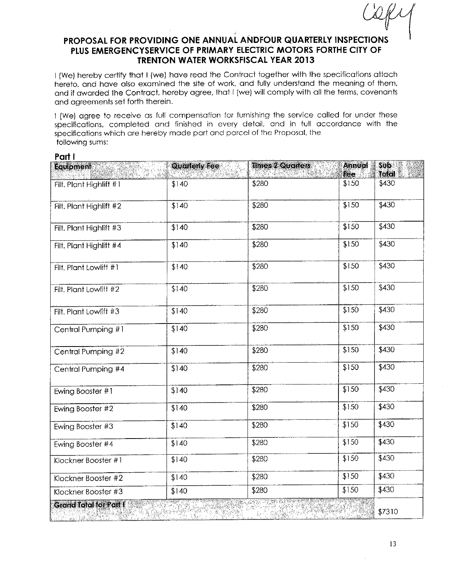I (We) hereby certify that I (we) have read the Contract together with the specifications attach hereto, and have also examined the site of work, and fully understand the meaning of them, and if awarded the Contract, hereby agree, that I (we) will comply with all the terms, covenants and agreements set forth therein.

I (We) agree to receive as full compensation for furnishing the service called for under these specifications, completed and finished in every detail, and in full accordance with the specifications which are hereby made part and parcel of the Proposal, the following sums:

Part I

| <b>Equipment</b><br>vit S<br>乳肿 网络核 | <b>Quarterly Fee</b> | <b>Times 2 Quarters</b> | Annual<br>fee | <b>Sub</b><br>Total<br>X. |
|-------------------------------------|----------------------|-------------------------|---------------|---------------------------|
| Filt. Plant Highlift #1             | \$140                | \$280                   | \$150         | \$430                     |
| Filt. Plant Highlift #2             | \$140                | \$280                   | \$150         | \$430                     |
| Filt. Plant Highlift #3             | \$140                | \$280                   | \$150         | \$430                     |
| Filt. Plant Highlift #4             | \$140                | \$280                   | \$150         | \$430                     |
| Filt, Plant Lowlift #1              | \$140                | \$280                   | \$150         | \$430                     |
| Filt, Plant Lowlift #2              | \$140                | \$280                   | \$150         | \$430                     |
| Filt, Plant Lowlift #3              | \$140                | \$280                   | \$150         | \$430                     |
| Central Pumping #1                  | \$140                | \$280                   | \$150         | \$430                     |
| Central Pumping #2                  | \$140                | \$280                   | \$150         | \$430                     |
| Central Pumping #4                  | \$140                | \$280                   | \$150         | \$430                     |
| Ewing Booster #1                    | \$140                | \$280                   | \$150         | \$430                     |
| Ewing Booster #2                    | \$140                | \$280                   | \$150         | \$430                     |
| Ewing Booster #3                    | \$140                | \$280                   | \$150         | \$430                     |
| Ewing Booster #4                    | \$140                | \$280                   | \$150         | \$430                     |
| Klockner Booster #1                 | \$140                | \$280                   | \$150         | \$430                     |
| Klockner Boosfer #2                 | \$140                | \$280                   | \$150         | \$430                     |
| Klockner Booster #3                 | \$140                | \$280                   | \$150         | \$430                     |
| Grand Total for Part I              |                      | 裂叶                      |               | \$7310                    |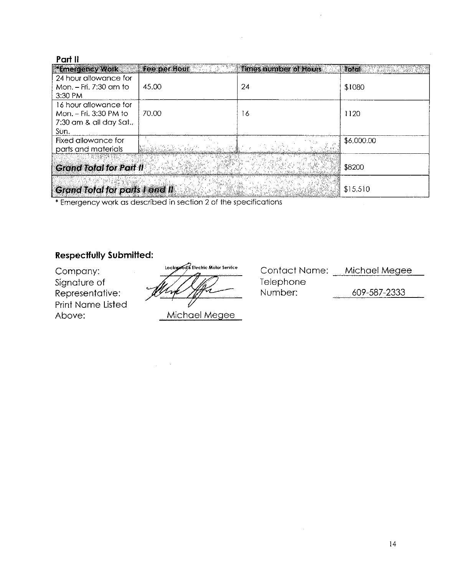| *Emergency Work                       | Fee per Hour | <b>Times number of Hours</b> | <b>Total</b> |
|---------------------------------------|--------------|------------------------------|--------------|
| 24 hour allowance for                 |              |                              |              |
| Mon. – Fri. 7:30 am to                | 45.00        | 24                           | \$1080       |
| 3:30 PM                               |              |                              |              |
| 16 hour allowance for                 |              |                              |              |
| Mon. – Fri. 3:30 PM to                | 70.00        | 16                           | 1120         |
| 7:30 am & all day Sat.,               |              |                              |              |
| Sun.                                  |              |                              |              |
| Fixed allowance for                   |              |                              | \$6,000.00   |
| parts and materials                   |              |                              |              |
|                                       |              |                              |              |
| <b>Grand Total for Part II</b>        |              |                              | \$8200       |
|                                       |              |                              |              |
| <b>Grand Total for parts I and II</b> |              |                              | \$15,510     |

\* Emergency work as described in section 2 of the specifications

## **Respectfully Submitted:**

Company: Signature of Representative: **Print Name Listed** Above:

Lockypod's Electric Motor Service

Michael Megee

Contact Name: Michael Megee Telephone Number: 609-587-2333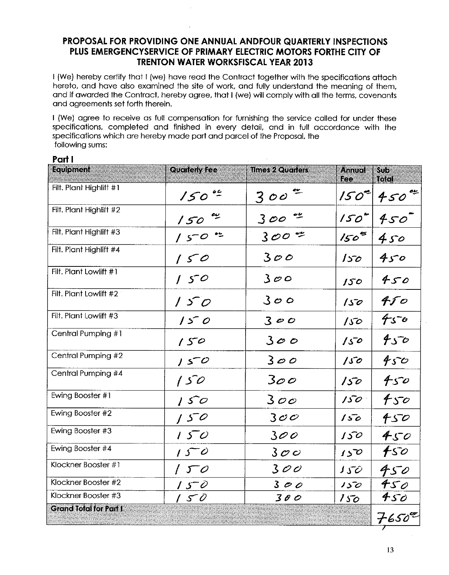I (We) hereby certify that I (we) have read the Contract together with the specifications attach hereto, and have also examined the site of work, and fully understand the meaning of them, and if awarded the Contract, hereby agree, that I (we) will comply with all the terms, covenants and agreements set forth therein.

I (We) agree to receive as full compensation for furnishing the service called for under these specifications, completed and finished in every detail, and in full accordance with the specifications which are hereby made part and parcel of the Proposal, the following sums:

#### Part I

| Equipment                     | <b>Quarterly Fee</b> | <b>Mmes 2 Quarters</b> | <b>Annual</b><br>Fee | 50 <sub>D</sub><br>Tolal |
|-------------------------------|----------------------|------------------------|----------------------|--------------------------|
| Filt. Plant Highlift #1       | 150                  | $300^\circ$            | $150^{\circ}$        | $450^{o*}$               |
| Filt. Plant Highlift #2       | 150                  | 300                    | 150 <sup>th</sup>    | 450                      |
| Filt. Plant Highlift #3       | 150°                 | $300$ $%$              | $150^\circ$          | 450                      |
| Filt. Plant Highlift #4       | 150                  | 300                    | $150 -$              | 450                      |
| Filt. Plant Lowlift #1        | 150                  | 300                    | 150                  | 450                      |
| Filt. Plant Lowlift #2        | 150                  | 300                    | 150                  | $f$ 50                   |
| Filt. Plant Lowlift #3        | 150                  | 300                    | 150                  | 450                      |
| Central Pumping #1            | 150                  | 300                    | 150                  | 450                      |
| Central Pumping #2            | 150                  | 300                    | 150                  | 450                      |
| Central Pumping #4            | 150                  | $3$ oo                 | 150                  | 450                      |
| Ewing Booster #1              | 150                  | 300                    | $150^\circ$          | f50                      |
| Ewing Booster #2              | 150                  | 300                    | 150                  | 450                      |
| Ewing Booster #3              | 150                  | 300                    | 150                  | 450                      |
| Ewing Booster #4              | 150                  | 300                    | 150                  | fso                      |
| Klockner Booster #1           | 150                  | 300                    | J50                  | 450                      |
| Klockner Booster #2           | 150                  | 300                    | 150                  | 45 $\rho$                |
| Klockner Booster #3           | 150                  | 300                    | 150                  | 450                      |
| <b>Grand Total for Part I</b> |                      |                        |                      | $7650^{\circ\circ}$      |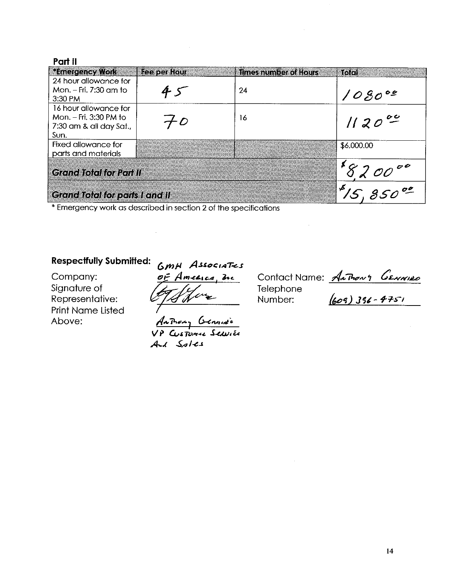| *Emergency Work                       | Fee per Hour | <b>Times number of Hours</b> | ାରତା       |
|---------------------------------------|--------------|------------------------------|------------|
| 24 hour allowance for                 |              |                              |            |
| Mon. – Fri. 7:30 am to                |              | 24                           | 1080°9     |
| 3:30 PM                               |              |                              |            |
| 16 hour allowance for                 |              |                              |            |
| Mon. - Fri. 3:30 PM to                | - D          | 16                           | $1120^{o}$ |
| 7:30 am & all day Sat.,               |              |                              |            |
| Sun.                                  |              |                              |            |
| Fixed allowance for                   |              |                              | \$6,000.00 |
| parts and materials                   |              |                              |            |
|                                       |              |                              |            |
| <b>Grand Total for Part II</b>        |              |                              |            |
|                                       |              |                              | کب         |
| <b>Grand Total for parts I and II</b> |              |                              |            |

\* Emergency work as described in section 2 of the specifications

#### **Respectfully Submitted:**

Company: Signature of Representative: **Print Name Listed** Above:

GMH Associates OF America, the

AnThony Generace VP Custanne Sexurée And Sples

Contact Name: <u>Anthony General</u><br>Telephone<br>Number: (609) 356-4751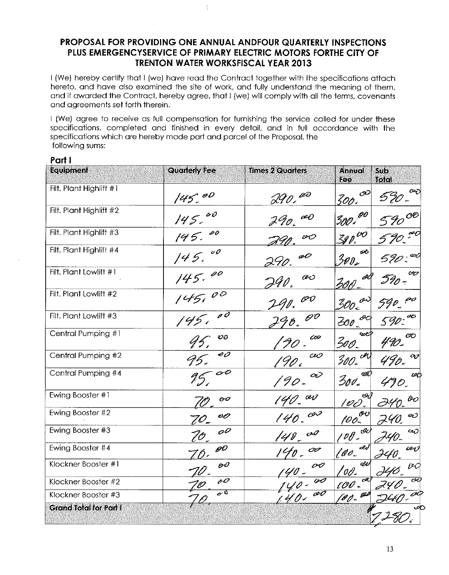I (We) hereby certify that I (we) have read the Contract together with the specifications attach hereto, and have also examined the site of work, and fully understand the meaning of them, and if awarded the Contract, hereby agree, that I (we) will comply with all the terms, covenants and agreements set forth therein.

I (We) agree to receive as full compensation for furnishing the service called for under these specifications, completed and finished in every detail, and in full accordance with the specifications which are hereby made part and parcel of the Proposal, the following sums:

#### Part I

| Equipment                     | <b>Quarterly Fee</b>                | <b>Times 2 Quarters</b>                      | Annual<br>Ree                                      | S <sub>1</sub><br><b>Total</b> |
|-------------------------------|-------------------------------------|----------------------------------------------|----------------------------------------------------|--------------------------------|
| Filt. Plant Highlift #1       | 145.00                              | wo<br>HO ,                                   | $\mathcal{O}$<br>300.                              |                                |
| Filt. Plant Highlift #2       | 145.00                              | œO                                           | 300 <sup>00</sup>                                  |                                |
| Filt. Plant Highlift #3       | 00<br>145.                          | vO                                           | $300^{\circ}$                                      |                                |
| Filt. Plant Highlift #4       | $\circ \rho$<br>145.                | a O<br>290.                                  | Æ<br>3ø $\mathfrak{d}_{\ell}$                      | Œ                              |
| Filt. Plant Lowlift #1        | 00                                  | O 0<br>F40.                                  | l<br>30 A                                          | $\infty$<br>I 90 -             |
| Filt. Plant Lowlift #2        | $\mathcal{O}^{\mathcal{O}}$<br>1451 | $\mathscr{O} \mathscr{O}$                    | $\omega$<br>30o l                                  | fer                            |
| Filt. Plant Lowlift #3        | $\rho \bar{\sigma}$<br>145.         | $\mathscr{O}^{\mathcal{O}}$                  | OC<br>$200 -$                                      | -40<br>590                     |
| Central Pumping #1            | $\mathcal{O} \mathcal{O}$<br>45,    | co                                           | œe⊅<br>3oo.                                        | CID                            |
| Central Pumping #2            | $\overline{\mathscr{A}\mathscr{O}}$ | vO                                           | $300 - 44$                                         | $\sigma_{\!\cal{J}}$           |
| Central Pumping #4            |                                     | OĬ<br>'90-                                   | Ø.<br>$\mathcal{Z}_{\mathit{OU}_{\pmb{\epsilon}}}$ | $\omega$ t                     |
| Ewing Booster #1              | oo                                  | av                                           | ليټ<br><u> 100.</u>                                | OO                             |
| Ewing Booster #2              | oo                                  | 140.00                                       | $100 - 00$                                         | ඥ                              |
| Ewing Booster #3              | oO<br>70                            | cro<br>$140 -$                               | 100.00                                             | ربت                            |
| Ewing Booster #4              | $\mathscr{O}^O$<br>7 f .            | OP<br>140-                                   | æd<br>100                                          | ies                            |
| Klockner Booster #1           | $\mathcal{O}$                       | $\overline{\mathcal{O}}\mathcal{O}$<br>140 - | M<br>'00-                                          | OC                             |
| Klockner Booster #2           | $\overline{\mathscr{O}}$            | $\overline{\mathscr{O}}$                     | CR.<br>$100 -$                                     | ত্ত                            |
| Klockner Booster #3           | $\sigma$ <sup>0</sup>               | av<br>140.                                   | [00- <sup>003</sup>                                | oo                             |
| <b>Grand Total for Part I</b> |                                     |                                              |                                                    | $\infty$                       |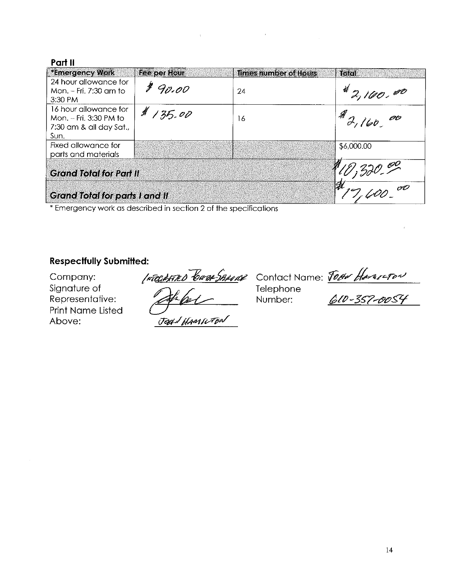| *Emergency Work                       | Fee per Hour | <b>Times number of Hours</b> | <b>Total</b>    |
|---------------------------------------|--------------|------------------------------|-----------------|
| 24 hour allowance for                 |              |                              |                 |
| Mon. – Fri. 7:30 am to                | 90.00        | 24                           | 42,100,00       |
| 3:30 PM                               |              |                              |                 |
| 16 hour allowance for                 | 11, 35.00    |                              |                 |
| Mon. – Fri. 3:30 PM to                |              | 16                           | $1^{9}2,160.00$ |
| 7:30 am & all day Sat.,               |              |                              |                 |
| Sun.                                  |              |                              |                 |
| Fixed allowance for                   |              |                              | \$6,000.00      |
| parts and materials                   |              |                              |                 |
|                                       |              |                              |                 |
| <b>Grand Total for Part II</b>        |              |                              |                 |
|                                       |              |                              |                 |
| <b>Grand Total for parts I and II</b> |              |                              |                 |

\* Emergency work as described in section 2 of the specifications

#### **Respectfully Submitted:**

Company: Signature of Representative: **Print Name Listed** Above:

Internet Contract Name: Tobe Hanners Jody HAMILTON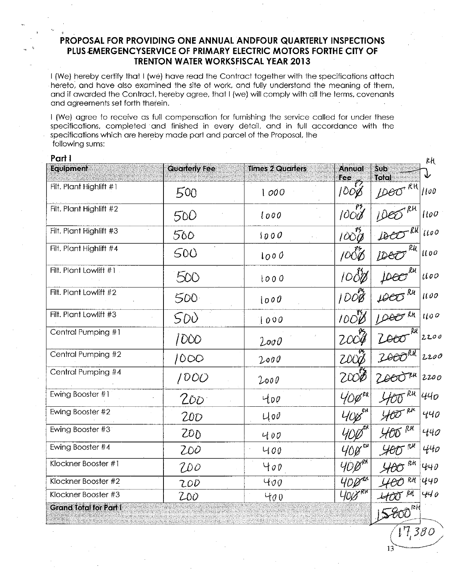I (We) hereby certify that I (we) have read the Contract together with the specifications attach hereto, and have also examined the site of work, and fully understand the meaning of them, and if awarded the Contract, hereby agree, that I (we) will comply with all the terms, covenants and agreements set forth therein.

I (We) agree to receive as full compensation for furnishing the service called for under these specifications, completed and finished in every detail, and in full accordance with the specifications which are hereby made part and parcel of the Proposal, the following sums:

| Part I                        | <b>Quarterly Fee</b> | <b>Times 2 Quarters</b> | <b>Annual</b>                    | $\overline{\mathbf{S}}$ | κH       |
|-------------------------------|----------------------|-------------------------|----------------------------------|-------------------------|----------|
| Equipment                     |                      |                         | <b>Fee</b>                       | Total                   | ψ        |
| Filt. Plant Highlift #1       | 500                  | 1000                    | $\tilde{\mathcal{P}}$<br>$100\%$ | Deo <sup>RH</sup>       | 1100     |
| Filt. Plant Highlift #2       | 500                  | 1000                    | 95.<br>1000                      | IDEL                    | 1100     |
| Filt. Plant Highlift #3       | 500                  | 1000                    | 100%                             | DE                      | 1100     |
| Filt. Plant Highlift #4       | 500                  | 1000                    | $\mu$ o $\delta \delta$          | Rк<br>DEO               | $\mu$ oo |
| Filt. Plant Lowlift #1.       | 500                  | 1000                    | 1000                             |                         | $\mu$ 00 |
| Filt. Plant Lowlift #2        | 500                  | 1000                    | $100\overline{8}$                | $\mu$ eo $\kappa$       | 1100     |
| Filt. Plant Lowlift #3        | SDU                  | 1000                    | $100\%$                          | LOOO RK                 | 1100     |
| Central Pumping #1            | 1000                 | 2000                    | 2004                             | ZOOO                    | 220c     |
| Central Pumping #2            | 1000                 | 2000                    | ZOOO                             | ZOOORK                  | 2200     |
| Central Pumping #4            | 1000                 | 2000                    | 2000                             | 26OO                    | 220c     |
| Ewing Booster #1              | 200                  | 400                     | 40per                            | RН                      | 440      |
| Ewing Booster #2              | 200                  | $U_0 \mathcal{O}$       | 4018                             | $400^{RH}$              | 440      |
| Ewing Booster #3              | 200                  | 400                     | YDØ                              | $400$ RH                | 440      |
| Ewing Booster #4              | 200                  | 400                     | 400                              | $400^{R}$               | 440      |
| Klockner Booster #1           | Wo                   | 400                     | 400 RRT                          | ŖЛ<br>400               | 440      |
| Klockner Booster #2           | 200                  | 400                     | 400                              | RH                      | 440      |
| Klockner Booster #3           | 200                  | 400                     | <b>YOU</b> RK                    | <b>400 RM</b>           | 440      |
| <b>Grand Total for Part I</b> |                      |                         |                                  |                         |          |

 $7,380$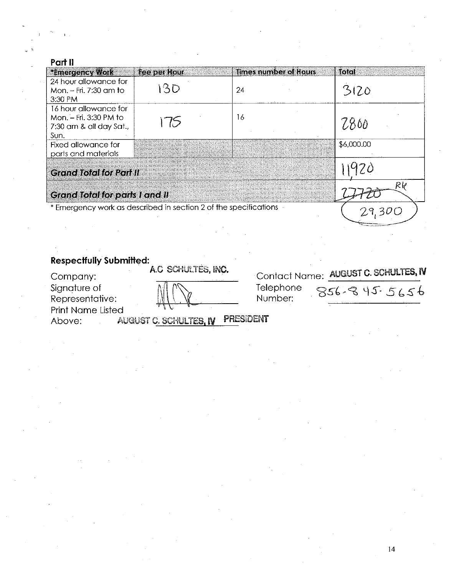| Part II                                                                            |              |                              |            |
|------------------------------------------------------------------------------------|--------------|------------------------------|------------|
| *Emergency Work                                                                    | Fee per Hour | <b>Times number of Hours</b> | Total      |
| 24 hour allowance for<br>Mon. - Fri. 7:30 am to<br>3:30 PM                         | 130          | 24                           | 3120       |
| 16 hour allowance for<br>Mon. - Fri. 3:30 PM to<br>7:30 am & all day Sat.,<br>Sun. | 75           | 16                           | 7800       |
| Fixed allowance for<br>parts and materials                                         |              |                              | \$6,000.00 |
| <b>Grand Total for Part II</b>                                                     |              |                              |            |
| <b>Grand Total for parts I and II</b>                                              |              |                              | Rk         |
| * Emergency work as described in section 2 of the specifications                   |              |                              |            |
|                                                                                    |              |                              |            |

| <b>Respectfully Submitted:</b> |                        |                                      |
|--------------------------------|------------------------|--------------------------------------|
| Company:                       | A.C SCHULTES, INC.     | Contact Name: AUGUST C. SCHULTES, IV |
| Signature of                   |                        | Telephone<br>$856 - 845.5656$        |
| Representative:                |                        | Number:                              |
| <b>Print Name Listed</b>       |                        |                                      |
| Ahove:                         | airnist C. Scuhltfr. N | PRESIDENT                            |

 $\label{eq:2} \frac{d\mathbf{y}}{dt} = \frac{1}{2} \sum_{i=1}^n \mathbf{y}_i \mathbf{y}_i$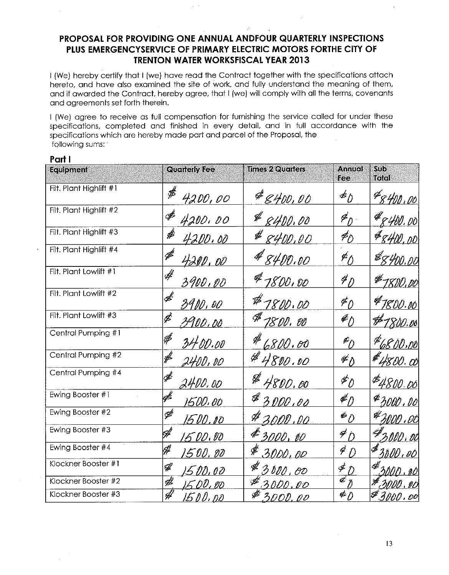I (We) hereby certify that I (we) have read the Contract together with the specifications attach hereto, and have also examined the site of work, and fully understand the meaning of them, and if awarded the Contract, hereby agree, that I (we) will comply with all the terms, covenants and agreements set forth therein.

I (We) agree to receive as full compensation for furnishing the service called for under these specifications, completed and finished in every detail, and in full accordance with the specifications which are hereby made part and parcel of the Proposal, the following sums:

#### Part I

| <b>Equipment</b>        | <b>Quarterly Fee</b>                                                                                                                                                                                                                                                                                                                                                                                           | <b>Times 2 Quarters</b> | Annual<br>Fee                                                                                                                                                                                                                                                                                                                                                                                       | Sub.<br>Total        |
|-------------------------|----------------------------------------------------------------------------------------------------------------------------------------------------------------------------------------------------------------------------------------------------------------------------------------------------------------------------------------------------------------------------------------------------------------|-------------------------|-----------------------------------------------------------------------------------------------------------------------------------------------------------------------------------------------------------------------------------------------------------------------------------------------------------------------------------------------------------------------------------------------------|----------------------|
| Filt. Plant Highlift #1 | $\rlap{\hspace{1.5pt}}\rlap{\hspace{1.5pt}}\rlap{\hspace{1.5pt}}\rlap{\hspace{1.5pt}}\rlap{\hspace{1.5pt}}\rlap{\hspace{1.5pt}}\rlap{\hspace{1.5pt}}\rlap{\hspace{1.5pt}}\rlap{\hspace{1.5pt}}\rlap{\hspace{1.5pt}}\rlap{\hspace{1.5pt}}\rlap{\hspace{1.5pt}}\rlap{\hspace{1.5pt}}\rlap{\hspace{1.5pt}}\rlap{\hspace{1.5pt}}\rlap{\hspace{1.5pt}}\rlap{\hspace{1.5pt}}\rlap{\hspace{1.5pt}}\rlap{\$<br>4200,00 | $*_{\mathscr{L}400.00}$ | מ€                                                                                                                                                                                                                                                                                                                                                                                                  | \$8400.00            |
| Filt. Plant Highlift #2 | ∯<br>4200,00                                                                                                                                                                                                                                                                                                                                                                                                   | # 8400.00               | $\mathscr{F}_D$                                                                                                                                                                                                                                                                                                                                                                                     | #8400.00             |
| Filt. Plant Highlift #3 | $\rlap{/}{\#}$<br><u>4200.00</u>                                                                                                                                                                                                                                                                                                                                                                               | 8400,00                 | $\neq$                                                                                                                                                                                                                                                                                                                                                                                              | #8400,00             |
| Filt. Plant Highlift #4 | $\mathscr{\mathscr{F}}$<br>4200,00                                                                                                                                                                                                                                                                                                                                                                             | 8400.00                 | $\neq$                                                                                                                                                                                                                                                                                                                                                                                              | \$8400.00            |
| Filt. Plant Lowlift #1  | 4<br>3900,00                                                                                                                                                                                                                                                                                                                                                                                                   | #7800.00                | $\rlap{\hspace{1.5pt}}\rlap{\hspace{1.5pt}}\rlap{\hspace{1.5pt}}\rlap{\hspace{1.5pt}}\rlap{\hspace{1.5pt}}\rlap{\hspace{1.5pt}}\rlap{\hspace{1.5pt}}\rlap{\hspace{1.5pt}}\rlap{\hspace{1.5pt}}\rlap{\hspace{1.5pt}}\rlap{\hspace{1.5pt}}\rlap{\hspace{1.5pt}}\rlap{\hspace{1.5pt}}\rlap{\hspace{1.5pt}}\rlap{\hspace{1.5pt}}\rlap{\hspace{1.5pt}}\rlap{\hspace{1.5pt}}\rlap{\hspace{1.5pt}}\rlap{\$ | \$1800.00            |
| Filt. Plant Lowlift #2  | $\overline{\mathscr{E}}$<br>3900,00                                                                                                                                                                                                                                                                                                                                                                            | #7800.00                | $\overline{\varepsilon}_0$                                                                                                                                                                                                                                                                                                                                                                          | \$1800.00            |
| Filt. Plant Lowlift #3  | Þ<br><u>3900.00</u>                                                                                                                                                                                                                                                                                                                                                                                            | \$ 1800.00              | $\mathscr{L}_{\bigwedge}$                                                                                                                                                                                                                                                                                                                                                                           | #1800.06             |
| Central Pumping #1      | ef<br>3400.00                                                                                                                                                                                                                                                                                                                                                                                                  | H<br>6800.00            | $\mathscr{L}_D$                                                                                                                                                                                                                                                                                                                                                                                     | \$6800.00            |
| Central Pumping #2      | <u>2400, oo</u>                                                                                                                                                                                                                                                                                                                                                                                                | #4800.00                | $\mathscr{L}_D$                                                                                                                                                                                                                                                                                                                                                                                     | #4800.00             |
| Central Pumping #4      | ∯<br>2400.00                                                                                                                                                                                                                                                                                                                                                                                                   | Ø<br>4800.00            | $\mathscr{F}_{\hat{U}}$                                                                                                                                                                                                                                                                                                                                                                             | $*4800.00$           |
| Ewing Booster #1        | f<br>1500.00                                                                                                                                                                                                                                                                                                                                                                                                   | \$3000.00               | $\mathscr{J}_O$                                                                                                                                                                                                                                                                                                                                                                                     | \$3000.00            |
| Ewing Booster #2        | Ĝ<br>15 DO .00                                                                                                                                                                                                                                                                                                                                                                                                 | \$3000.00               | $\ast_{\mathcal{D}}$                                                                                                                                                                                                                                                                                                                                                                                | ** 300 <u>0 i ex</u> |
| Ewing Booster #3        | A                                                                                                                                                                                                                                                                                                                                                                                                              | \$ 3000,00              | $\neq_D$                                                                                                                                                                                                                                                                                                                                                                                            | <b>F</b> 2000,00     |
| Ewing Booster #4        | H<br>1500.00                                                                                                                                                                                                                                                                                                                                                                                                   | \$3000.00               | $\overline{P}$                                                                                                                                                                                                                                                                                                                                                                                      | \$3000.00            |
| Klockner Booster #1     | ĄÎ<br>15 DD, 0 D                                                                                                                                                                                                                                                                                                                                                                                               | $*3000.00$              | $\notin \mathcal{D}$                                                                                                                                                                                                                                                                                                                                                                                | , MO                 |
| Klockner Booster #2     | 4<br>F. DV , 90                                                                                                                                                                                                                                                                                                                                                                                                | 3000.00                 | $\overline{\mathscr{A}}_{\tilde{\mathscr{N}}}$                                                                                                                                                                                                                                                                                                                                                      |                      |
| Klockner Booster #3     | 4<br><u>15 D D. pp</u>                                                                                                                                                                                                                                                                                                                                                                                         | 3000.00                 | $\overline{\ast}_{\mathcal{D}}$                                                                                                                                                                                                                                                                                                                                                                     | #3000.00             |

13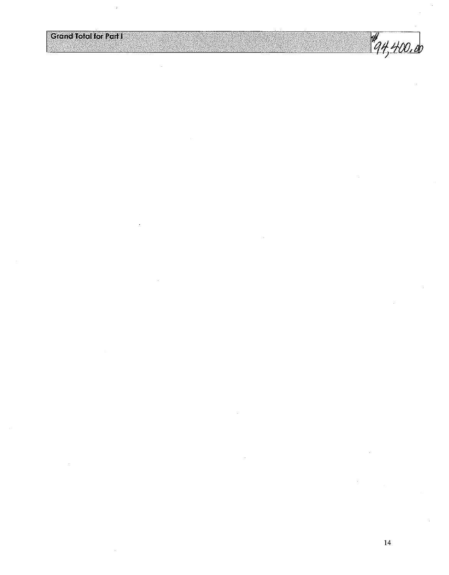$\frac{4}{94,400.00}$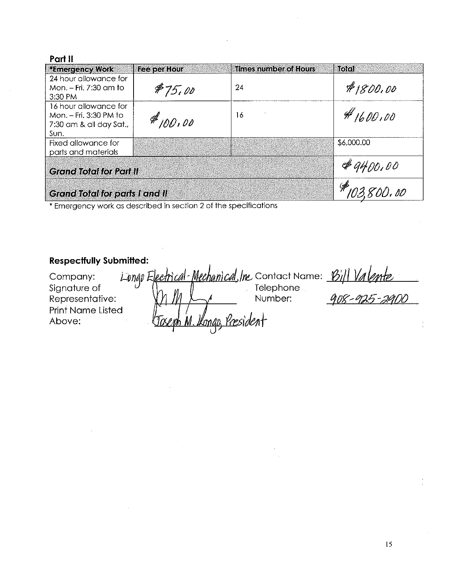| *Emergency Work                       | Fee per Hour | <b>Times number of Hours</b> | atoiol     |
|---------------------------------------|--------------|------------------------------|------------|
| 24 hour allowance for                 |              |                              |            |
| Mon. - Fri. 7:30 am to                | \$75.00      | 24                           | \$1800.00  |
| 3:30 PM                               |              |                              |            |
| 16 hour allowance for                 |              |                              |            |
| Mon. - Fri. 3:30 PM to                | #100,00      | 16                           | #1600.00   |
| 7:30 am & all day Sat.                |              |                              |            |
| Sun.                                  |              |                              |            |
| Fixed allowance for                   |              |                              | \$6,000.00 |
| parts and materials                   |              |                              |            |
|                                       |              |                              | #9400.00   |
| <b>Grand Total for Part II</b>        |              |                              |            |
|                                       |              |                              |            |
| <b>Grand Total for parts I and II</b> |              |                              | 103,800.00 |

\* Emergericy work as described in section 2 of the specifications

## **Respectfully Submitted:**

| Company:                 |           |                           | Longo Electrical-Mechanical Inc Contact Name: Bill Valente |              |
|--------------------------|-----------|---------------------------|------------------------------------------------------------|--------------|
| Signature of             |           |                           | Telephone                                                  |              |
| Representative:          |           |                           | Number:                                                    | 908-925-2900 |
| <b>Print Name Listed</b> |           |                           |                                                            |              |
| Above:                   | Tocent M. | <u> Ikongo, President</u> |                                                            |              |
|                          |           |                           |                                                            |              |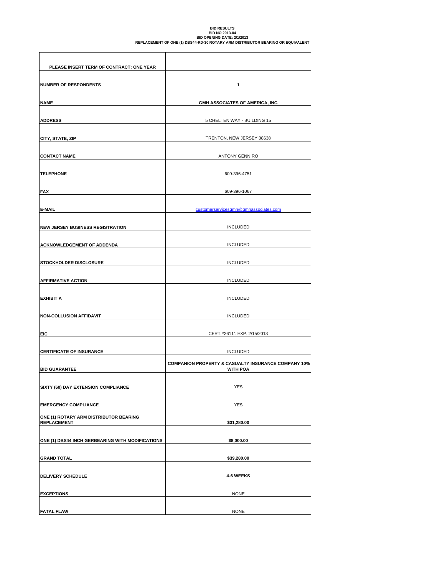# BID RESULTS<br>BID NO 2013-04<br>REPLACEMENT OF ONE (1) DBS44-RD-30 ROTARY ARM DISTRIBUTOR BEARING OR EQUIVALENT

| PLEASE INSERT TERM OF CONTRACT: ONE YEAR                     |                                                                                   |
|--------------------------------------------------------------|-----------------------------------------------------------------------------------|
| <b>NUMBER OF RESPONDENTS</b>                                 | 1                                                                                 |
| <b>NAME</b>                                                  | GMH ASSOCIATES OF AMERICA, INC.                                                   |
| <b>ADDRESS</b>                                               | 5 CHELTEN WAY - BUILDING 15                                                       |
| CITY, STATE, ZIP                                             | TRENTON, NEW JERSEY 08638                                                         |
| <b>CONTACT NAME</b>                                          | <b>ANTONY GENNIRO</b>                                                             |
| <b>TELEPHONE</b>                                             | 609-396-4751                                                                      |
| <b>FAX</b>                                                   | 609-396-1067                                                                      |
| E-MAIL                                                       | customerservicesqmh@qmhassociates.com                                             |
| <b>NEW JERSEY BUSINESS REGISTRATION</b>                      | <b>INCLUDED</b>                                                                   |
| <b>ACKNOWLEDGEMENT OF ADDENDA</b>                            | <b>INCLUDED</b>                                                                   |
| <b>STOCKHOLDER DISCLOSURE</b>                                | <b>INCLUDED</b>                                                                   |
| <b>AFFIRMATIVE ACTION</b>                                    | <b>INCLUDED</b>                                                                   |
| <b>EXHIBIT A</b>                                             | <b>INCLUDED</b>                                                                   |
| <b>NON-COLLUSION AFFIDAVIT</b>                               | <b>INCLUDED</b>                                                                   |
| <b>EIC</b>                                                   | CERT.#26111 EXP. 2/15/2013                                                        |
| <b>CERTIFICATE OF INSURANCE</b>                              | <b>INCLUDED</b>                                                                   |
| <b>BID GUARANTEE</b>                                         | <b>COMPANION PROPERTY &amp; CASUALTY INSURANCE COMPANY 10%</b><br><b>WITH POA</b> |
| SIXTY (60) DAY EXTENSION COMPLIANCE                          | <b>YES</b>                                                                        |
| <b>EMERGENCY COMPLIANCE</b>                                  | YES                                                                               |
| ONE (1) ROTARY ARM DISTRIBUTOR BEARING<br><b>REPLACEMENT</b> | \$31,280.00                                                                       |
| ONE (1) DBS44 INCH GERBEARING WITH MODIFICATIONS             | \$8,000.00                                                                        |
| <b>GRAND TOTAL</b>                                           | \$39,280.00                                                                       |
| <b>DELIVERY SCHEDULE</b>                                     | 4-6 WEEKS                                                                         |
| <b>EXCEPTIONS</b>                                            | <b>NONE</b>                                                                       |
| <b>FATAL FLAW</b>                                            | <b>NONE</b>                                                                       |